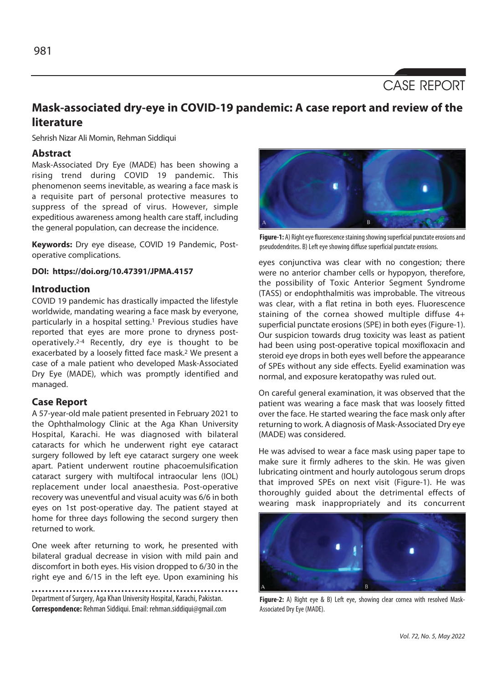# CASE REPORT

# **Mask-associated dry-eye in COVID-19 pandemic: A case report and review of the literature**

Sehrish Nizar Ali Momin, Rehman Siddiqui

# **Abstract**

Mask-Associated Dry Eye (MADE) has been showing a rising trend during COVID 19 pandemic. This phenomenon seems inevitable, as wearing a face mask is a requisite part of personal protective measures to suppress of the spread of virus. However, simple expeditious awareness among health care staff, including the general population, can decrease the incidence.

**Keywords:** Dry eye disease, COVID 19 Pandemic, Postoperative complications.

**DOI: https://doi.org/10.47391/JPMA.4157** 

# **Introduction**

COVID 19 pandemic has drastically impacted the lifestyle worldwide, mandating wearing a face mask by everyone, particularly in a hospital setting.<sup>1</sup> Previous studies have reported that eyes are more prone to dryness postoperatively.2-4 Recently, dry eye is thought to be exacerbated by a loosely fitted face mask.2 We present a case of a male patient who developed Mask-Associated Dry Eye (MADE), which was promptly identified and managed.

#### **Case Report**

A 57-year-old male patient presented in February 2021 to the Ophthalmology Clinic at the Aga Khan University Hospital, Karachi. He was diagnosed with bilateral cataracts for which he underwent right eye cataract surgery followed by left eye cataract surgery one week apart. Patient underwent routine phacoemulsification cataract surgery with multifocal intraocular lens (IOL) replacement under local anaesthesia. Post-operative recovery was uneventful and visual acuity was 6/6 in both eyes on 1st post-operative day. The patient stayed at home for three days following the second surgery then returned to work.

One week after returning to work, he presented with bilateral gradual decrease in vision with mild pain and discomfort in both eyes. His vision dropped to 6/30 in the right eye and 6/15 in the left eye. Upon examining his

Department of Surgery, Aga Khan University Hospital, Karachi, Pakistan. **Correspondence:** Rehman Siddiqui. Email: rehman.siddiqui@gmail.com



**Figure-1:** A) Right eye fluorescence staining showing superficial punctate erosions and pseudodendrites. B) Left eye showing diffuse superficial punctate erosions.

eyes conjunctiva was clear with no congestion; there were no anterior chamber cells or hypopyon, therefore, the possibility of Toxic Anterior Segment Syndrome (TASS) or endophthalmitis was improbable. The vitreous was clear, with a flat retina in both eyes. Fluorescence staining of the cornea showed multiple diffuse 4+ superficial punctate erosions (SPE) in both eyes (Figure-1). Our suspicion towards drug toxicity was least as patient had been using post-operative topical moxifloxacin and steroid eye drops in both eyes well before the appearance of SPEs without any side effects. Eyelid examination was normal, and exposure keratopathy was ruled out.

On careful general examination, it was observed that the patient was wearing a face mask that was loosely fitted over the face. He started wearing the face mask only after returning to work. A diagnosis of Mask-Associated Dry eye (MADE) was considered.

He was advised to wear a face mask using paper tape to make sure it firmly adheres to the skin. He was given lubricating ointment and hourly autologous serum drops that improved SPEs on next visit (Figure-1). He was thoroughly guided about the detrimental effects of wearing mask inappropriately and its concurrent



**Figure-2:** A) Right eye & B) Left eye, showing clear cornea with resolved Mask-Associated Dry Eye (MADE).